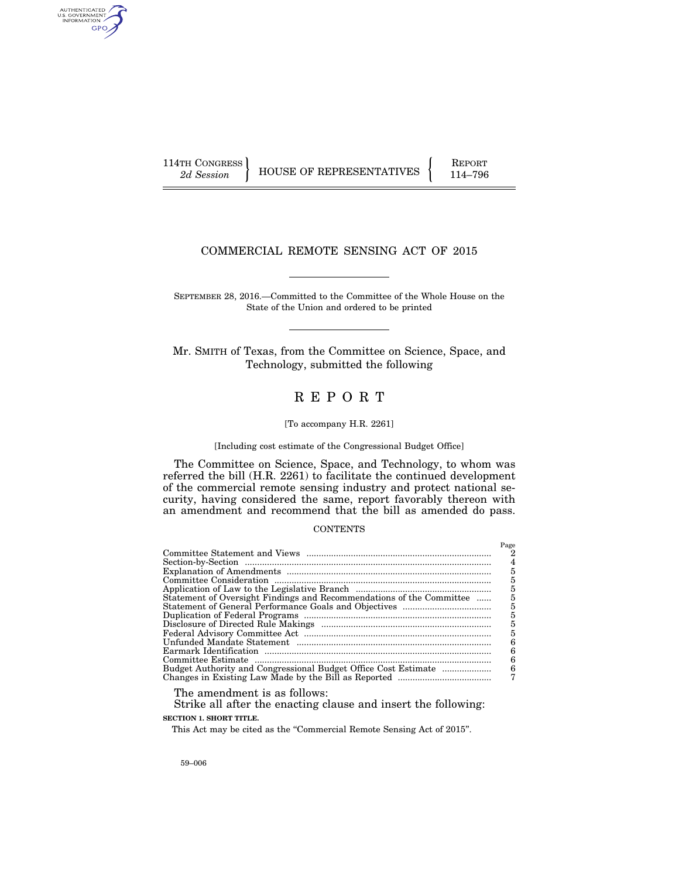AUTHENTICATED<br>U.S. GOVERNMENT<br>INFORMATION GPO

114TH CONGRESS HOUSE OF REPRESENTATIVES FEPORT 114–796

## COMMERCIAL REMOTE SENSING ACT OF 2015

SEPTEMBER 28, 2016.—Committed to the Committee of the Whole House on the State of the Union and ordered to be printed

Mr. SMITH of Texas, from the Committee on Science, Space, and Technology, submitted the following

# R E P O R T

#### [To accompany H.R. 2261]

[Including cost estimate of the Congressional Budget Office]

The Committee on Science, Space, and Technology, to whom was referred the bill (H.R. 2261) to facilitate the continued development of the commercial remote sensing industry and protect national security, having considered the same, report favorably thereon with an amendment and recommend that the bill as amended do pass.

#### **CONTENTS**

|                                                                      | Page |
|----------------------------------------------------------------------|------|
|                                                                      |      |
|                                                                      | 4    |
|                                                                      | 5    |
|                                                                      | 5    |
|                                                                      | 5    |
| Statement of Oversight Findings and Recommendations of the Committee | 5    |
|                                                                      | 5    |
|                                                                      | 5    |
|                                                                      | 5    |
|                                                                      | 5    |
|                                                                      |      |
|                                                                      | 6    |
|                                                                      | б    |
|                                                                      | 6    |
|                                                                      |      |
|                                                                      |      |

The amendment is as follows:

Strike all after the enacting clause and insert the following: **SECTION 1. SHORT TITLE.** 

This Act may be cited as the "Commercial Remote Sensing Act of 2015".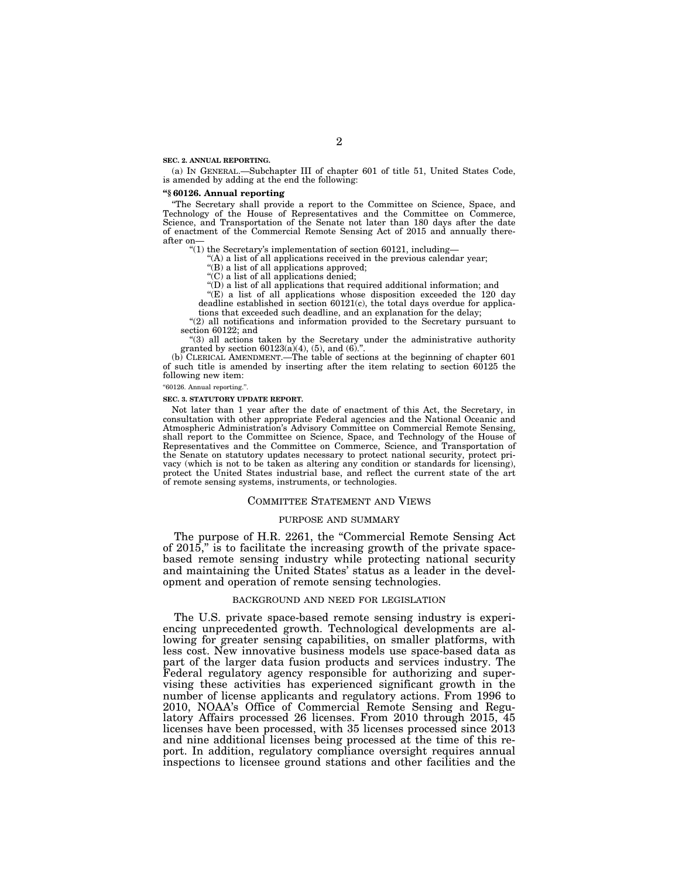**SEC. 2. ANNUAL REPORTING.** 

(a) IN GENERAL.—Subchapter III of chapter 601 of title 51, United States Code, is amended by adding at the end the following:

#### **''§ 60126. Annual reporting**

''The Secretary shall provide a report to the Committee on Science, Space, and Technology of the House of Representatives and the Committee on Commerce, Science, and Transportation of the Senate not later than 180 days after the date of enactment of the Commercial Remote Sensing Act of 2015 and annually thereafter on—

''(1) the Secretary's implementation of section 60121, including—

'(A) a list of all applications received in the previous calendar year;

''(B) a list of all applications approved;

 $C$ <sup>'</sup>(C) a list of all applications denied;

''(D) a list of all applications that required additional information; and

''(E) a list of all applications whose disposition exceeded the 120 day deadline established in section 60121(c), the total days overdue for applica-

tions that exceeded such deadline, and an explanation for the delay;

"(2) all notifications and information provided to the Secretary pursuant to section 60122; and

''(3) all actions taken by the Secretary under the administrative authority granted by section  $60123(a)(4)$ ,  $(5)$ , and  $(6)$ .".

(b) CLERICAL AMENDMENT.—The table of sections at the beginning of chapter 601 of such title is amended by inserting after the item relating to section 60125 the following new item:

''60126. Annual reporting.''.

#### **SEC. 3. STATUTORY UPDATE REPORT.**

Not later than 1 year after the date of enactment of this Act, the Secretary, in consultation with other appropriate Federal agencies and the National Oceanic and Atmospheric Administration's Advisory Committee on Commercial Remote Sensing, shall report to the Committee on Science, Space, and Technology of the House of Representatives and the Committee on Commerce, Science, and Transportation of the Senate on statutory updates necessary to protect national security, protect privacy (which is not to be taken as altering any condition or standards for licensing), protect the United States industrial base, and reflect the current state of the art of remote sensing systems, instruments, or technologies.

#### COMMITTEE STATEMENT AND VIEWS

#### PURPOSE AND SUMMARY

The purpose of H.R. 2261, the "Commercial Remote Sensing Act of 2015,'' is to facilitate the increasing growth of the private spacebased remote sensing industry while protecting national security and maintaining the United States' status as a leader in the development and operation of remote sensing technologies.

#### BACKGROUND AND NEED FOR LEGISLATION

The U.S. private space-based remote sensing industry is experiencing unprecedented growth. Technological developments are allowing for greater sensing capabilities, on smaller platforms, with less cost. New innovative business models use space-based data as part of the larger data fusion products and services industry. The Federal regulatory agency responsible for authorizing and supervising these activities has experienced significant growth in the number of license applicants and regulatory actions. From 1996 to 2010, NOAA's Office of Commercial Remote Sensing and Regulatory Affairs processed 26 licenses. From 2010 through 2015, 45 licenses have been processed, with 35 licenses processed since 2013 and nine additional licenses being processed at the time of this report. In addition, regulatory compliance oversight requires annual inspections to licensee ground stations and other facilities and the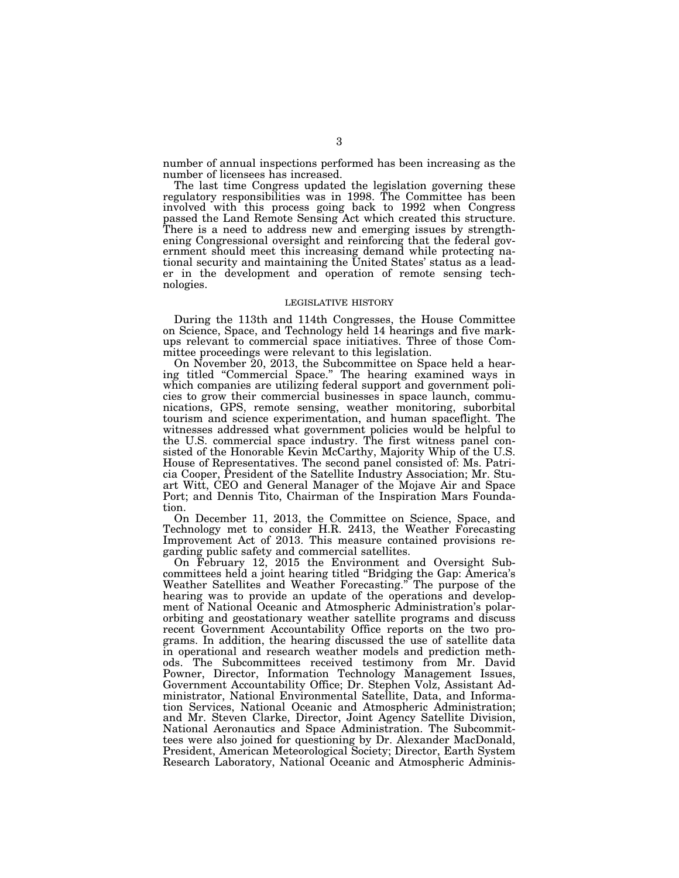number of annual inspections performed has been increasing as the number of licensees has increased.

The last time Congress updated the legislation governing these regulatory responsibilities was in 1998. The Committee has been involved with this process going back to 1992 when Congress passed the Land Remote Sensing Act which created this structure. There is a need to address new and emerging issues by strengthening Congressional oversight and reinforcing that the federal government should meet this increasing demand while protecting national security and maintaining the United States' status as a leader in the development and operation of remote sensing technologies.

## LEGISLATIVE HISTORY

During the 113th and 114th Congresses, the House Committee on Science, Space, and Technology held 14 hearings and five markups relevant to commercial space initiatives. Three of those Committee proceedings were relevant to this legislation.

On November 20, 2013, the Subcommittee on Space held a hearing titled "Commercial Space." The hearing examined ways in which companies are utilizing federal support and government policies to grow their commercial businesses in space launch, communications, GPS, remote sensing, weather monitoring, suborbital tourism and science experimentation, and human spaceflight. The witnesses addressed what government policies would be helpful to the U.S. commercial space industry. The first witness panel consisted of the Honorable Kevin McCarthy, Majority Whip of the U.S. House of Representatives. The second panel consisted of: Ms. Patricia Cooper, President of the Satellite Industry Association; Mr. Stuart Witt, CEO and General Manager of the Mojave Air and Space Port; and Dennis Tito, Chairman of the Inspiration Mars Foundation.

On December 11, 2013, the Committee on Science, Space, and Technology met to consider H.R. 2413, the Weather Forecasting Improvement Act of 2013. This measure contained provisions regarding public safety and commercial satellites.

On February 12, 2015 the Environment and Oversight Subcommittees held a joint hearing titled ''Bridging the Gap: America's Weather Satellites and Weather Forecasting.'' The purpose of the hearing was to provide an update of the operations and development of National Oceanic and Atmospheric Administration's polarorbiting and geostationary weather satellite programs and discuss recent Government Accountability Office reports on the two programs. In addition, the hearing discussed the use of satellite data in operational and research weather models and prediction methods. The Subcommittees received testimony from Mr. David Powner, Director, Information Technology Management Issues, Government Accountability Office; Dr. Stephen Volz, Assistant Administrator, National Environmental Satellite, Data, and Information Services, National Oceanic and Atmospheric Administration; and Mr. Steven Clarke, Director, Joint Agency Satellite Division, National Aeronautics and Space Administration. The Subcommittees were also joined for questioning by Dr. Alexander MacDonald, President, American Meteorological Society; Director, Earth System Research Laboratory, National Oceanic and Atmospheric Adminis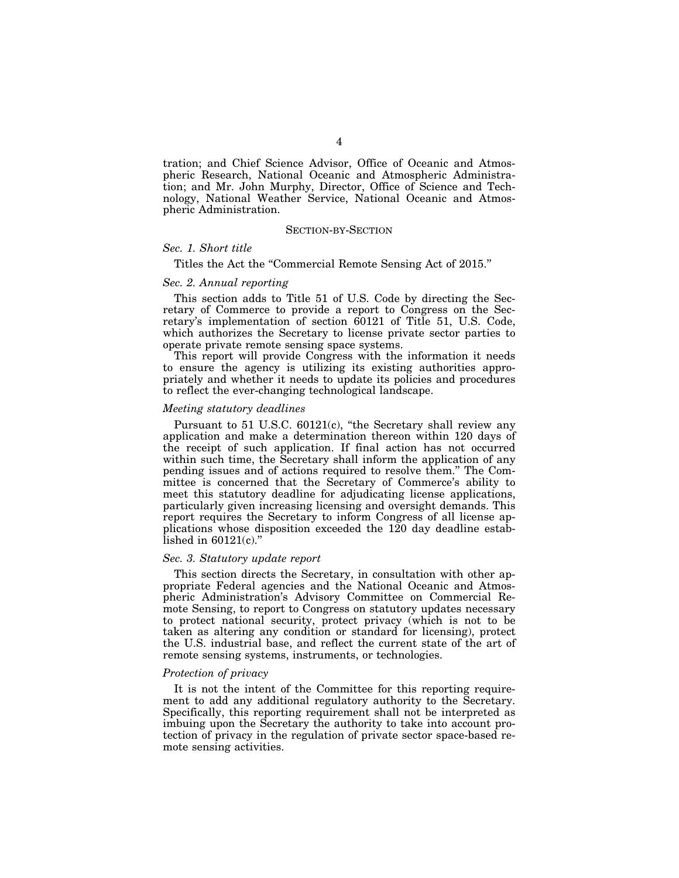tration; and Chief Science Advisor, Office of Oceanic and Atmospheric Research, National Oceanic and Atmospheric Administration; and Mr. John Murphy, Director, Office of Science and Technology, National Weather Service, National Oceanic and Atmospheric Administration.

#### SECTION-BY-SECTION

## *Sec. 1. Short title*

Titles the Act the ''Commercial Remote Sensing Act of 2015.''

#### *Sec. 2. Annual reporting*

This section adds to Title 51 of U.S. Code by directing the Secretary of Commerce to provide a report to Congress on the Secretary's implementation of section 60121 of Title 51, U.S. Code, which authorizes the Secretary to license private sector parties to operate private remote sensing space systems.

This report will provide Congress with the information it needs to ensure the agency is utilizing its existing authorities appropriately and whether it needs to update its policies and procedures to reflect the ever-changing technological landscape.

#### *Meeting statutory deadlines*

Pursuant to 51 U.S.C. 60121(c), "the Secretary shall review any application and make a determination thereon within 120 days of the receipt of such application. If final action has not occurred within such time, the Secretary shall inform the application of any pending issues and of actions required to resolve them.'' The Committee is concerned that the Secretary of Commerce's ability to meet this statutory deadline for adjudicating license applications, particularly given increasing licensing and oversight demands. This report requires the Secretary to inform Congress of all license applications whose disposition exceeded the 120 day deadline established in  $60121(c)$ ."

#### *Sec. 3. Statutory update report*

This section directs the Secretary, in consultation with other appropriate Federal agencies and the National Oceanic and Atmospheric Administration's Advisory Committee on Commercial Remote Sensing, to report to Congress on statutory updates necessary to protect national security, protect privacy (which is not to be taken as altering any condition or standard for licensing), protect the U.S. industrial base, and reflect the current state of the art of remote sensing systems, instruments, or technologies.

#### *Protection of privacy*

It is not the intent of the Committee for this reporting requirement to add any additional regulatory authority to the Secretary. Specifically, this reporting requirement shall not be interpreted as imbuing upon the Secretary the authority to take into account protection of privacy in the regulation of private sector space-based remote sensing activities.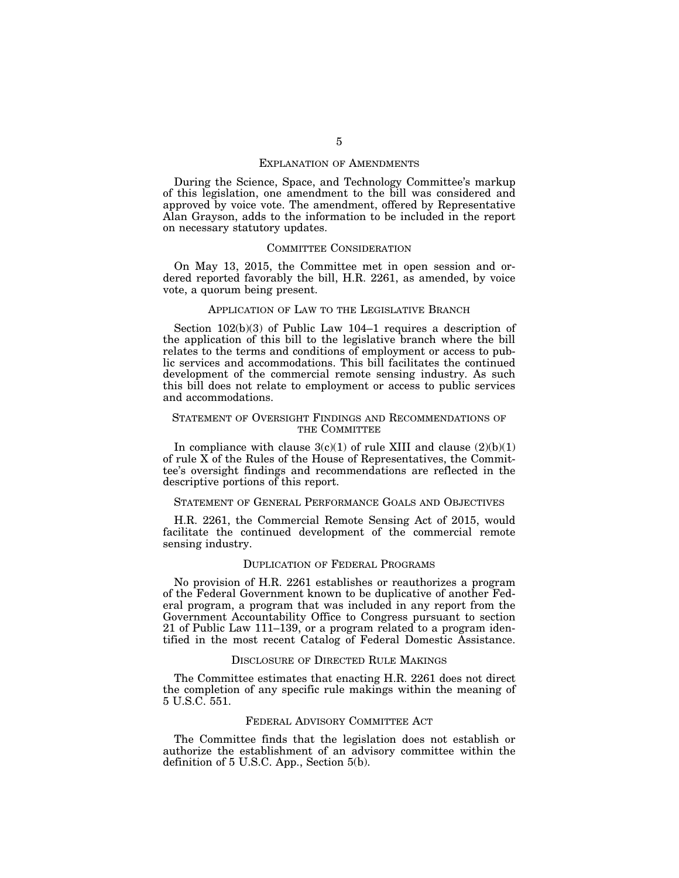## EXPLANATION OF AMENDMENTS

During the Science, Space, and Technology Committee's markup of this legislation, one amendment to the bill was considered and approved by voice vote. The amendment, offered by Representative Alan Grayson, adds to the information to be included in the report on necessary statutory updates.

## COMMITTEE CONSIDERATION

On May 13, 2015, the Committee met in open session and ordered reported favorably the bill, H.R. 2261, as amended, by voice vote, a quorum being present.

## APPLICATION OF LAW TO THE LEGISLATIVE BRANCH

Section 102(b)(3) of Public Law 104–1 requires a description of the application of this bill to the legislative branch where the bill relates to the terms and conditions of employment or access to public services and accommodations. This bill facilitates the continued development of the commercial remote sensing industry. As such this bill does not relate to employment or access to public services and accommodations.

## STATEMENT OF OVERSIGHT FINDINGS AND RECOMMENDATIONS OF THE COMMITTEE

In compliance with clause  $3(c)(1)$  of rule XIII and clause  $(2)(b)(1)$ of rule X of the Rules of the House of Representatives, the Committee's oversight findings and recommendations are reflected in the descriptive portions of this report.

#### STATEMENT OF GENERAL PERFORMANCE GOALS AND OBJECTIVES

H.R. 2261, the Commercial Remote Sensing Act of 2015, would facilitate the continued development of the commercial remote sensing industry.

#### DUPLICATION OF FEDERAL PROGRAMS

No provision of H.R. 2261 establishes or reauthorizes a program of the Federal Government known to be duplicative of another Federal program, a program that was included in any report from the Government Accountability Office to Congress pursuant to section 21 of Public Law 111–139, or a program related to a program identified in the most recent Catalog of Federal Domestic Assistance.

## DISCLOSURE OF DIRECTED RULE MAKINGS

The Committee estimates that enacting H.R. 2261 does not direct the completion of any specific rule makings within the meaning of 5 U.S.C. 551.

## FEDERAL ADVISORY COMMITTEE ACT

The Committee finds that the legislation does not establish or authorize the establishment of an advisory committee within the definition of 5 U.S.C. App., Section 5(b).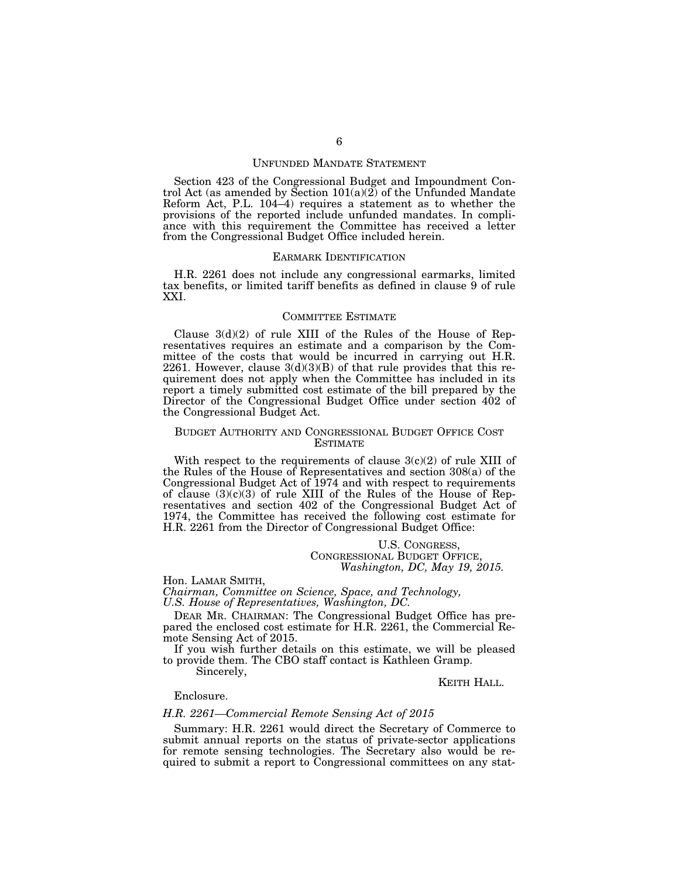## UNFUNDED MANDATE STATEMENT

Section 423 of the Congressional Budget and Impoundment Control Act (as amended by Section 101(a)(2) of the Unfunded Mandate Reform Act, P.L. 104–4) requires a statement as to whether the provisions of the reported include unfunded mandates. In compliance with this requirement the Committee has received a letter from the Congressional Budget Office included herein.

#### EARMARK IDENTIFICATION

H.R. 2261 does not include any congressional earmarks, limited tax benefits, or limited tariff benefits as defined in clause 9 of rule XXI.

## COMMITTEE ESTIMATE

Clause 3(d)(2) of rule XIII of the Rules of the House of Representatives requires an estimate and a comparison by the Committee of the costs that would be incurred in carrying out H.R. 2261. However, clause  $3(d)(3)(B)$  of that rule provides that this requirement does not apply when the Committee has included in its report a timely submitted cost estimate of the bill prepared by the Director of the Congressional Budget Office under section 402 of the Congressional Budget Act.

## BUDGET AUTHORITY AND CONGRESSIONAL BUDGET OFFICE COST ESTIMATE

With respect to the requirements of clause  $3(c)(2)$  of rule XIII of the Rules of the House of Representatives and section 308(a) of the Congressional Budget Act of 1974 and with respect to requirements of clause  $(3)(c)(3)$  of rule XIII of the Rules of the House of Representatives and section 402 of the Congressional Budget Act of 1974, the Committee has received the following cost estimate for H.R. 2261 from the Director of Congressional Budget Office:

## U.S. CONGRESS, CONGRESSIONAL BUDGET OFFICE, *Washington, DC, May 19, 2015.*

Hon. LAMAR SMITH,

*Chairman, Committee on Science, Space, and Technology, U.S. House of Representatives, Washington, DC.* 

DEAR MR. CHAIRMAN: The Congressional Budget Office has prepared the enclosed cost estimate for H.R. 2261, the Commercial Remote Sensing Act of 2015.

If you wish further details on this estimate, we will be pleased to provide them. The CBO staff contact is Kathleen Gramp.

Sincerely,

KEITH HALL.

## Enclosure.

## *H.R. 2261—Commercial Remote Sensing Act of 2015*

Summary: H.R. 2261 would direct the Secretary of Commerce to submit annual reports on the status of private-sector applications for remote sensing technologies. The Secretary also would be required to submit a report to Congressional committees on any stat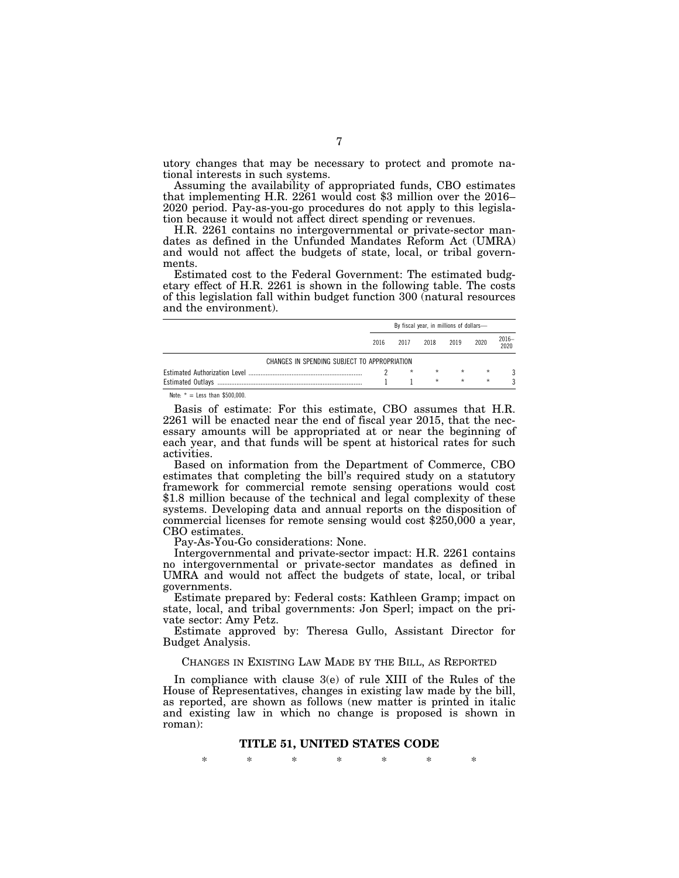utory changes that may be necessary to protect and promote national interests in such systems.<br>Assuming the availability of appropriated funds, CBO estimates

that implementing H.R. 2261 would cost  $$3$  million over the 2016– 2020 period. Pay-as-you-go procedures do not apply to this legislation because it would not affect direct spending or revenues.

H.R. 2261 contains no intergovernmental or private-sector mandates as defined in the Unfunded Mandates Reform Act (UMRA) and would not affect the budgets of state, local, or tribal governments.

Estimated cost to the Federal Government: The estimated budgetary effect of H.R. 2261 is shown in the following table. The costs of this legislation fall within budget function 300 (natural resources and the environment).

|                                              | By fiscal year, in millions of dollars- |         |         |         |         |               |
|----------------------------------------------|-----------------------------------------|---------|---------|---------|---------|---------------|
|                                              | 2016                                    | 2017    | 2018    | 2019    | 2020    | 2016-<br>2020 |
| CHANGES IN SPENDING SUBJECT TO APPROPRIATION |                                         |         |         |         |         |               |
|                                              |                                         | $\star$ | $\star$ | $\star$ | $\star$ |               |
|                                              |                                         |         | $\star$ | $\star$ | $\star$ |               |
| Note: $* =$ Less than \$500,000.             |                                         |         |         |         |         |               |

Basis of estimate: For this estimate, CBO assumes that H.R. 2261 will be enacted near the end of fiscal year 2015, that the necessary amounts will be appropriated at or near the beginning of each year, and that funds will be spent at historical rates for such activities.

Based on information from the Department of Commerce, CBO estimates that completing the bill's required study on a statutory framework for commercial remote sensing operations would cost \$1.8 million because of the technical and legal complexity of these systems. Developing data and annual reports on the disposition of commercial licenses for remote sensing would cost \$250,000 a year, CBO estimates.

Pay-As-You-Go considerations: None.

Intergovernmental and private-sector impact: H.R. 2261 contains no intergovernmental or private-sector mandates as defined in UMRA and would not affect the budgets of state, local, or tribal governments.

Estimate prepared by: Federal costs: Kathleen Gramp; impact on state, local, and tribal governments: Jon Sperl; impact on the private sector: Amy Petz.

Estimate approved by: Theresa Gullo, Assistant Director for Budget Analysis.

## CHANGES IN EXISTING LAW MADE BY THE BILL, AS REPORTED

In compliance with clause 3(e) of rule XIII of the Rules of the House of Representatives, changes in existing law made by the bill, as reported, are shown as follows (new matter is printed in italic and existing law in which no change is proposed is shown in roman):

## **TITLE 51, UNITED STATES CODE**

\* \* \* \* \* \* \*